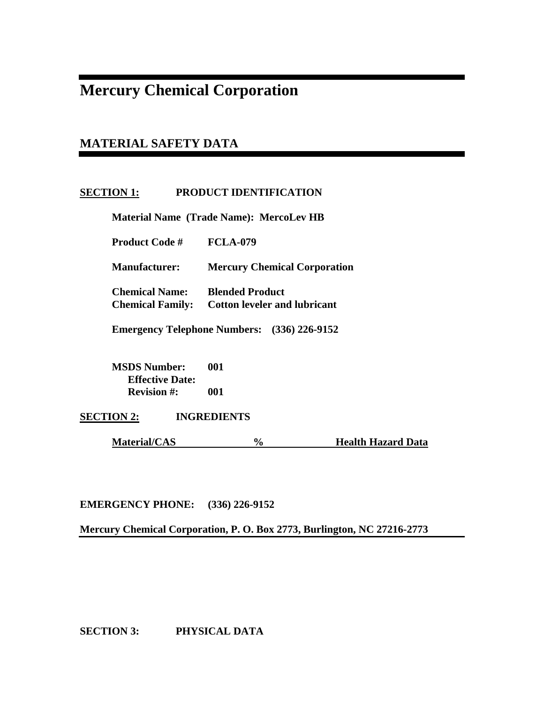# **Mercury Chemical Corporation**

## **MATERIAL SAFETY DATA**

## **SECTION 1: PRODUCT IDENTIFICATION**

 **Material Name (Trade Name): MercoLev HB** 

 **Product Code # FCLA-079** 

 **Manufacturer: Mercury Chemical Corporation** 

 **Chemical Name: Blended Product Chemical Family: Cotton leveler and lubricant** 

 **Emergency Telephone Numbers: (336) 226-9152** 

 **MSDS Number: 001 Effective Date: Revision #: 001** 

**SECTION 2: INGREDIENTS** 

**Material/CAS** % Health Hazard Data

**EMERGENCY PHONE: (336) 226-9152** 

**Mercury Chemical Corporation, P. O. Box 2773, Burlington, NC 27216-2773** 

**SECTION 3: PHYSICAL DATA**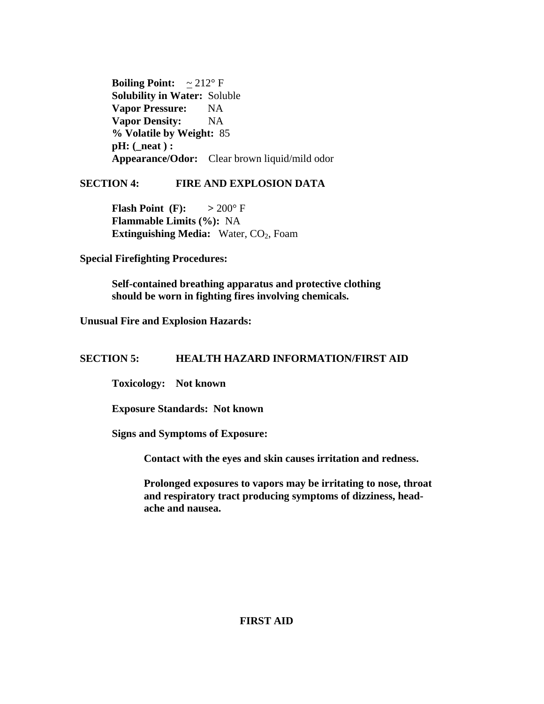**Boiling Point:**  $\approx 212^\circ \text{ F}$  **Solubility in Water:** Soluble **Vapor Pressure:** NA **Vapor Density:** NA  **% Volatile by Weight:** 85  **pH: (\_neat ) : Appearance/Odor:** Clear brown liquid/mild odor

## **SECTION 4: FIRE AND EXPLOSION DATA**

**Flash Point (F):**  $> 200^\circ$  F  **Flammable Limits (%):** NA **Extinguishing Media:** Water, CO<sub>2</sub>, Foam

**Special Firefighting Procedures:** 

 **Self-contained breathing apparatus and protective clothing should be worn in fighting fires involving chemicals.** 

**Unusual Fire and Explosion Hazards:** 

## **SECTION 5: HEALTH HAZARD INFORMATION/FIRST AID**

 **Toxicology: Not known** 

 **Exposure Standards: Not known** 

 **Signs and Symptoms of Exposure:** 

 **Contact with the eyes and skin causes irritation and redness.** 

**Prolonged exposures to vapors may be irritating to nose, throat and respiratory tract producing symptoms of dizziness, head ache and nausea.** 

## **FIRST AID**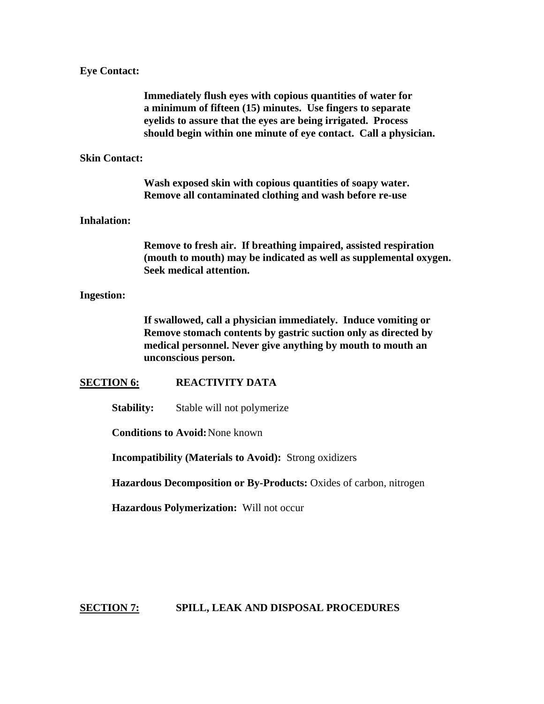#### **Eye Contact:**

 **Immediately flush eyes with copious quantities of water for a minimum of fifteen (15) minutes. Use fingers to separate eyelids to assure that the eyes are being irrigated. Process should begin within one minute of eye contact. Call a physician.** 

#### **Skin Contact:**

 **Wash exposed skin with copious quantities of soapy water. Remove all contaminated clothing and wash before re-use** 

#### **Inhalation:**

 **Remove to fresh air. If breathing impaired, assisted respiration (mouth to mouth) may be indicated as well as supplemental oxygen. Seek medical attention.** 

#### **Ingestion:**

 **If swallowed, call a physician immediately. Induce vomiting or Remove stomach contents by gastric suction only as directed by medical personnel. Never give anything by mouth to mouth an unconscious person.** 

#### **SECTION 6: REACTIVITY DATA**

**Stability:** Stable will not polymerize

 **Conditions to Avoid:** None known

 **Incompatibility (Materials to Avoid):** Strong oxidizers

 **Hazardous Decomposition or By-Products:** Oxides of carbon, nitrogen

 **Hazardous Polymerization:** Will not occur

**SECTION 7: SPILL, LEAK AND DISPOSAL PROCEDURES**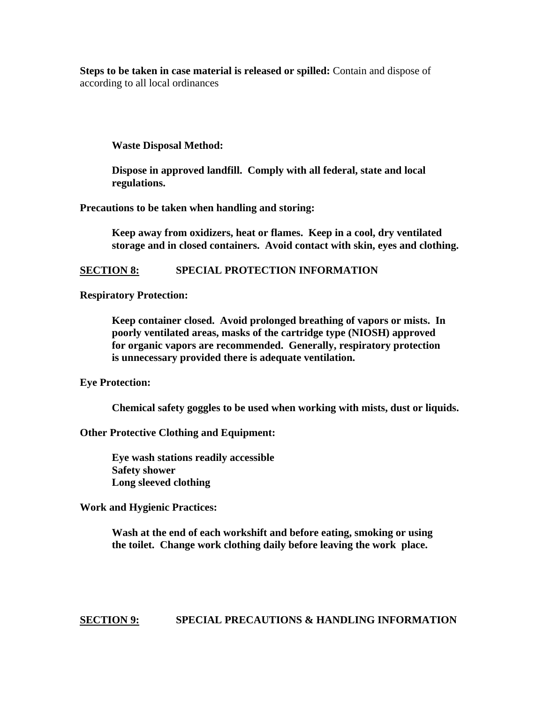**Steps to be taken in case material is released or spilled:** Contain and dispose of according to all local ordinances

 **Waste Disposal Method:** 

 **Dispose in approved landfill. Comply with all federal, state and local regulations.** 

**Precautions to be taken when handling and storing:** 

 **Keep away from oxidizers, heat or flames. Keep in a cool, dry ventilated storage and in closed containers. Avoid contact with skin, eyes and clothing.** 

#### **SECTION 8: SPECIAL PROTECTION INFORMATION**

**Respiratory Protection:** 

**Keep container closed. Avoid prolonged breathing of vapors or mists. In poorly ventilated areas, masks of the cartridge type (NIOSH) approved for organic vapors are recommended. Generally, respiratory protection is unnecessary provided there is adequate ventilation.** 

**Eye Protection:** 

 **Chemical safety goggles to be used when working with mists, dust or liquids.** 

**Other Protective Clothing and Equipment:** 

 **Eye wash stations readily accessible Safety shower Long sleeved clothing** 

**Work and Hygienic Practices:** 

 **Wash at the end of each workshift and before eating, smoking or using the toilet. Change work clothing daily before leaving the work place.** 

**SECTION 9: SPECIAL PRECAUTIONS & HANDLING INFORMATION**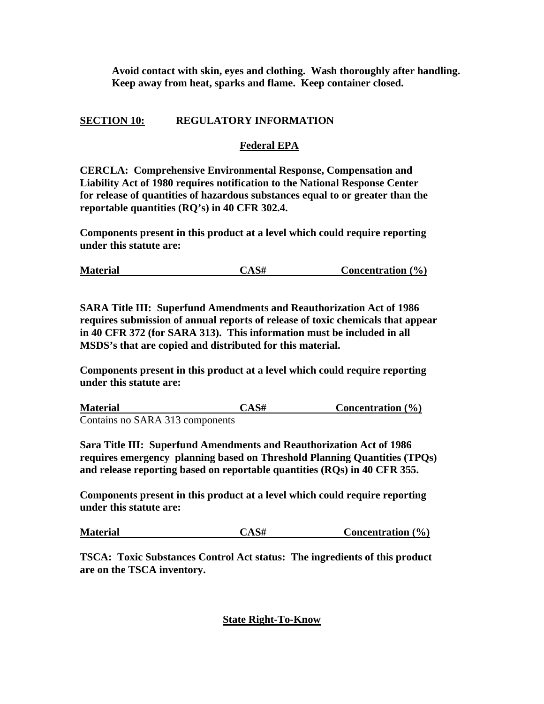**Avoid contact with skin, eyes and clothing. Wash thoroughly after handling. Keep away from heat, sparks and flame. Keep container closed.** 

## **SECTION 10: REGULATORY INFORMATION**

## **Federal EPA**

**CERCLA: Comprehensive Environmental Response, Compensation and Liability Act of 1980 requires notification to the National Response Center for release of quantities of hazardous substances equal to or greater than the reportable quantities (RQ's) in 40 CFR 302.4.** 

**Components present in this product at a level which could require reporting under this statute are:** 

| <b>Material</b> | CAS# | <b>Concentration</b> $(\% )$ |  |
|-----------------|------|------------------------------|--|
|-----------------|------|------------------------------|--|

**SARA Title III: Superfund Amendments and Reauthorization Act of 1986 requires submission of annual reports of release of toxic chemicals that appear in 40 CFR 372 (for SARA 313). This information must be included in all MSDS's that are copied and distributed for this material.** 

**Components present in this product at a level which could require reporting under this statute are:** 

| <b>Material</b>                 | $CAS\#$ | Concentration $(\% )$ |
|---------------------------------|---------|-----------------------|
| Contains no SARA 313 components |         |                       |

**Sara Title III: Superfund Amendments and Reauthorization Act of 1986 requires emergency planning based on Threshold Planning Quantities (TPQs) and release reporting based on reportable quantities (RQs) in 40 CFR 355.** 

**Components present in this product at a level which could require reporting under this statute are:** 

| <b>Material</b> | CAS# | Concentration $(\% )$ |
|-----------------|------|-----------------------|
|-----------------|------|-----------------------|

**TSCA: Toxic Substances Control Act status: The ingredients of this product are on the TSCA inventory.** 

## **State Right-To-Know**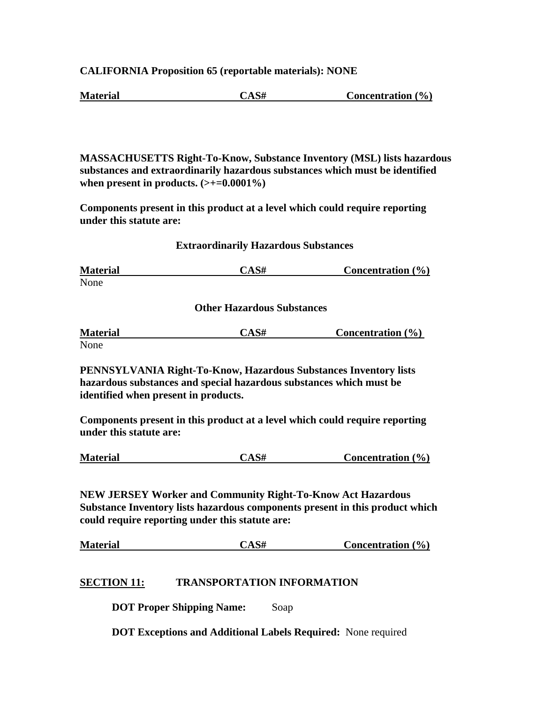**CALIFORNIA Proposition 65 (reportable materials): NONE** 

| <b>Material</b> | CAS# | Concentration $(\% )$ |  |
|-----------------|------|-----------------------|--|
|-----------------|------|-----------------------|--|

**MASSACHUSETTS Right-To-Know, Substance Inventory (MSL) lists hazardous substances and extraordinarily hazardous substances which must be identified**  when present in products.  $(\geq+0.0001\%)$ 

**Components present in this product at a level which could require reporting under this statute are:** 

#### **Extraordinarily Hazardous Substances**

**Material CAS# Concentration (%)** None

 **Other Hazardous Substances** 

| <b>Material</b> | CAS# | Concentration $(\% )$ |
|-----------------|------|-----------------------|
| None            |      |                       |

**PENNSYLVANIA Right-To-Know, Hazardous Substances Inventory lists hazardous substances and special hazardous substances which must be identified when present in products.** 

**Components present in this product at a level which could require reporting under this statute are:** 

**NEW JERSEY Worker and Community Right-To-Know Act Hazardous Substance Inventory lists hazardous components present in this product which could require reporting under this statute are:** 

**Material CAS# Concentration (%)**

## **SECTION 11: TRANSPORTATION INFORMATION**

**DOT Proper Shipping Name:** Soap

 **DOT Exceptions and Additional Labels Required:** None required